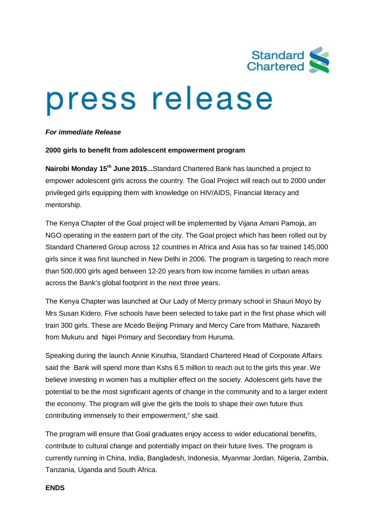

# press release

## *For immediate Release*

## **2000 girls to benefit from adolescent empowerment program**

**Nairobi Monday 15th June 2015...**Standard Chartered Bank has launched a project to empower adolescent girls across the country. The Goal Project will reach out to 2000 under privileged girls equipping them with knowledge on HIV/AIDS, Financial literacy and mentorship.

The Kenya Chapter of the Goal project will be implemented by Vijana Amani Pamoja, an NGO operating in the eastern part of the city. The Goal project which has been rolled out by Standard Chartered Group across 12 countries in Africa and Asia has so far trained 145,000 girls since it was first launched in New Delhi in 2006. The program is targeting to reach more than 500,000 girls aged between 12-20 years from low income families in urban areas across the Bank's global footprint in the next three years.

The Kenya Chapter was launched at Our Lady of Mercy primary school in Shauri Moyo by Mrs Susan Kidero. Five schools have been selected to take part in the first phase which will train 300 girls. These are Mcedo Beijing Primary and Mercy Care from Mathare, Nazareth from Mukuru and Ngei Primary and Secondary from Huruma.

Speaking during the launch Annie Kinuthia, Standard Chartered Head of Corporate Affairs said the Bank will spend more than Kshs 6.5 million to reach out to the girls this year. We believe investing in women has a multiplier effect on the society. Adolescent girls have the potential to be the most significant agents of change in the community and to a larger extent the economy. The program will give the girls the tools to shape their own future thus contributing immensely to their empowerment," she said.

The program will ensure that Goal graduates enjoy access to wider educational benefits, contribute to cultural change and potentially impact on their future lives. The program is currently running in China, India, Bangladesh, Indonesia, Myanmar Jordan, Nigeria, Zambia, Tanzania, Uganda and South Africa.

## **ENDS**